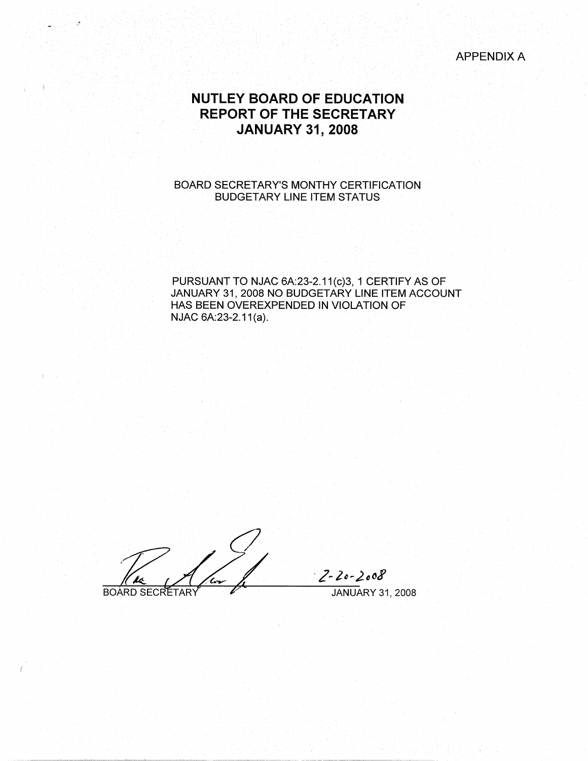APPENDIX A

# **NUTLEY BOARD OF EDUCATION REPORT OF THE SECRETARY JANUARY 31, 2008**

## BOARD SECRETARY'S MONTHY CERTIFICATION BUDGETARY LINE ITEM STATUS

PURSUANT TO NJAC 6A:23-2.11(c)3, 1 CERTIFY AS OF JANUARY 31, 2008 NO BUDGETARY LINE ITEM ACCOUNT HAS BEEN OVEREXPENDED IN VIOLATION OF NJAC 6A:23-2.11(a).

**BOARD SECRETARY** 

 $2 - 20 - 2008$ JANUARY 31, 2008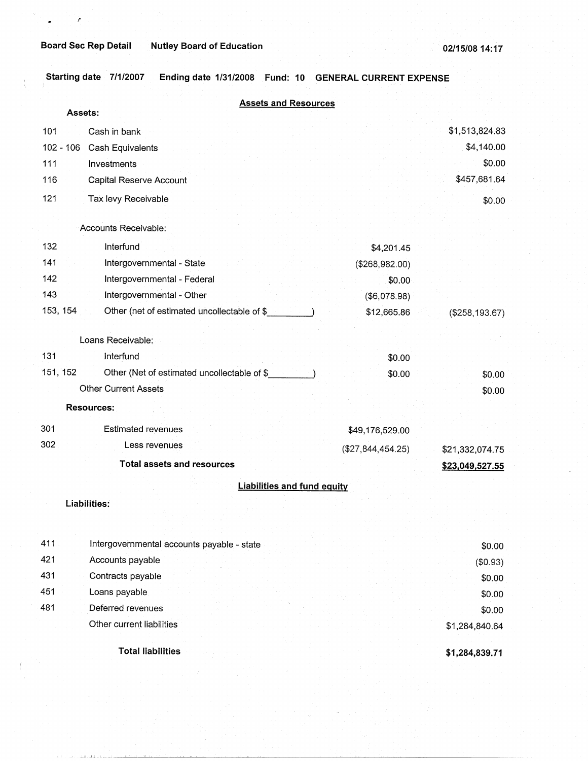*l'* 

**Starting date 7/1/2007 Ending date 1/31/2008 Fund: 10 GENERAL CURRENT EXPENSE** 

|             | <b>Assets and Resources</b>                 |                   |                   |
|-------------|---------------------------------------------|-------------------|-------------------|
|             | Assets:                                     |                   |                   |
| 101         | Cash in bank                                |                   | \$1,513,824.83    |
| $102 - 106$ | Cash Equivalents                            |                   | \$4,140.00        |
| 111         | Investments                                 |                   | \$0.00            |
| 116         | Capital Reserve Account                     |                   | \$457,681.64      |
| 121         | Tax levy Receivable                         |                   | \$0.00            |
|             | Accounts Receivable:                        |                   |                   |
| 132         | Interfund                                   | \$4,201.45        |                   |
| 141         | Intergovernmental - State                   | (\$268,982.00)    |                   |
| 142         | Intergovernmental - Federal                 | \$0.00            |                   |
| 143         | Intergovernmental - Other                   | (\$6,078.98)      |                   |
| 153, 154    | Other (net of estimated uncollectable of \$ | \$12,665.86       | $($ \$258,193.67) |
|             | Loans Receivable:                           |                   |                   |
| 131         | Interfund                                   | \$0.00            |                   |
| 151, 152    | Other (Net of estimated uncollectable of \$ | \$0.00            | \$0.00            |
|             | <b>Other Current Assets</b>                 |                   | \$0.00            |
|             | <b>Resources:</b>                           |                   |                   |
| 301         | <b>Estimated revenues</b>                   | \$49,176,529.00   |                   |
| 302         | Less revenues                               | (\$27,844,454.25) | \$21,332,074.75   |
|             | <b>Total assets and resources</b>           |                   | \$23,049,527.55   |
|             | <b>Liabilities and fund equity</b>          |                   |                   |
|             | Liabilities:                                |                   |                   |
|             |                                             |                   |                   |
| 411         | Intergovernmental accounts payable - state  |                   | \$0.00            |
| 421         | Accounts payable                            |                   | (\$0.93)          |
| 431         | Contracts payable                           |                   | \$0.00            |
| 451         | Loans payable                               |                   | \$0.00            |
| 481         | Deferred revenues                           |                   | \$0.00            |
|             | Other current liabilities                   |                   | \$1,284,840.64    |
|             | <b>Total liabilities</b>                    |                   | \$1,284,839.71    |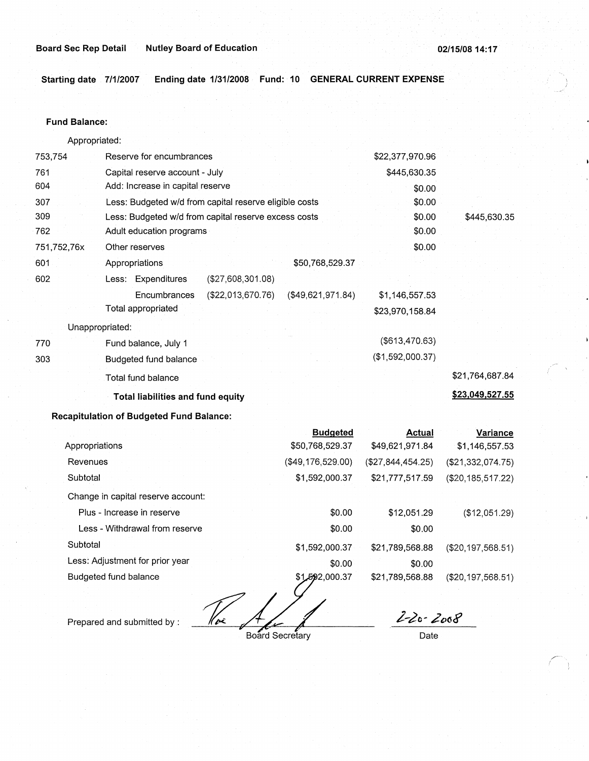### **Board Sec Rep Detail Contract Detail Autley Board of Education 02/15/08 14:17 02/15/08 14:17**

**Starting date 7/1/2007 Ending date 1/31/2008 Fund: 10 GENERAL CURRENT EXPENSE** 

#### **Fund Balance:**

753,754 761 604 Appropriated: Reserve for encumbrances Capital reserve account - July Add: Increase in capital reserve 307 309 762 751,752,76x 601 Less: Budgeted w/d from capital reserve eligible costs Less: Budgeted w/d from capital reserve excess costs Adult education programs 602 770 303 Other reserves Appropriations \$50,768,529.37 Less: Expenditures (\$27,608,301.08) Encumbrances (\$22,013,670.76) (\$49,621,971.84) Total appropriated Unappropriated: Fund balance, July 1 Budgeted fund balance Total fund balance **Total liabilities and fund equity Recapitulation of Budgeted Fund Balance:**  \$22,377,970.96 \$445,630.35 \$0.00 \$0.00 \$0.00 \$0.00 \$0.00 \$1,146,557.53 \$23,970,158.84 (\$613,470.63) (\$1,592,000.37) \$445,630.35 \$21,764,687.84 **\$23,049,527.55** 

|                                    | <b>Budgeted</b>   | <b>Actual</b>       | Variance            |
|------------------------------------|-------------------|---------------------|---------------------|
| Appropriations                     | \$50,768,529.37   | \$49,621,971.84     | \$1,146,557.53      |
| Revenues                           | (\$49,176,529.00) | $(\$27.844.454.25)$ | (\$21,332,074.75)   |
| Subtotal                           | \$1,592,000.37    | \$21,777,517.59     | (\$20, 185, 517.22) |
| Change in capital reserve account: |                   |                     |                     |
| Plus - Increase in reserve         | \$0.00            | \$12,051.29         | (\$12,051.29)       |
| Less - Withdrawal from reserve     | \$0.00            | \$0.00              |                     |
| Subtotal                           | \$1,592,000.37    | \$21,789,568.88     | (\$20,197,568.51)   |
| Less: Adjustment for prior year    | \$0.00            | \$0.00              |                     |
| Budgeted fund balance              | \$1,592,000.37    | \$21,789,568.88     | (\$20, 197, 568.51) |
|                                    |                   |                     |                     |

Kvz

Prepared and submitted by :

Board Secretary

2-20-2008

Date

,,----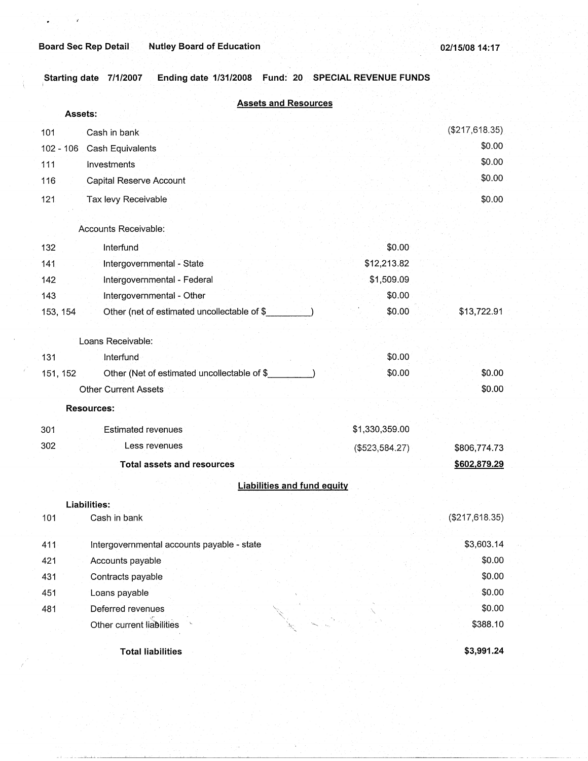.. 1 \_\_\_\_\_\_\_ lJ---L.l.--~~-~-~~~--~~-~---------------------

Starting date 7/1/2007 Ending date 1/31/2008 Fund: 20 SPECIAL REVENUE FUNDS

| <b>Assets and Resources</b>                             |                |                |
|---------------------------------------------------------|----------------|----------------|
| Assets:                                                 |                |                |
| Cash in bank<br>101                                     |                | (\$217,618.35) |
| $102 - 106$<br>Cash Equivalents                         |                | \$0.00         |
| 111<br>Investments                                      |                | \$0.00         |
| 116<br>Capital Reserve Account                          |                | \$0.00         |
| 121<br>Tax levy Receivable                              |                | \$0.00         |
|                                                         |                |                |
| Accounts Receivable:                                    |                |                |
| 132<br>Interfund                                        | \$0.00         |                |
| Intergovernmental - State<br>141                        | \$12,213.82    |                |
| Intergovernmental - Federal<br>142                      | \$1,509.09     |                |
| Intergovernmental - Other<br>143                        | \$0.00         |                |
| 153, 154<br>Other (net of estimated uncollectable of \$ | \$0.00         | \$13,722.91    |
|                                                         |                |                |
| Loans Receivable:                                       |                |                |
| Interfund<br>131                                        | \$0.00         |                |
| 151, 152<br>Other (Net of estimated uncollectable of \$ | \$0.00         | \$0.00         |
| <b>Other Current Assets</b>                             |                | \$0.00         |
| <b>Resources:</b>                                       |                |                |
| 301<br><b>Estimated revenues</b>                        | \$1,330,359.00 |                |
| 302<br>Less revenues                                    | (\$523,584.27) | \$806,774.73   |
| <b>Total assets and resources</b>                       |                | \$602,879.29   |
|                                                         |                |                |
| <b>Liabilities and fund equity</b>                      |                |                |
| Liabilities:                                            |                |                |
| 101<br>Cash in bank                                     |                | (\$217,618.35) |
| 411<br>Intergovernmental accounts payable - state       |                | \$3,603.14     |
| Accounts payable<br>421                                 |                | \$0.00         |
| Contracts payable<br>431                                |                | \$0.00         |
| 451<br>Loans payable                                    |                | \$0.00         |
| Deferred revenues<br>481                                |                | \$0.00         |
| Other current liabilities                               |                | \$388.10       |
|                                                         |                |                |
| <b>Total liabilities</b>                                |                | \$3,991.24     |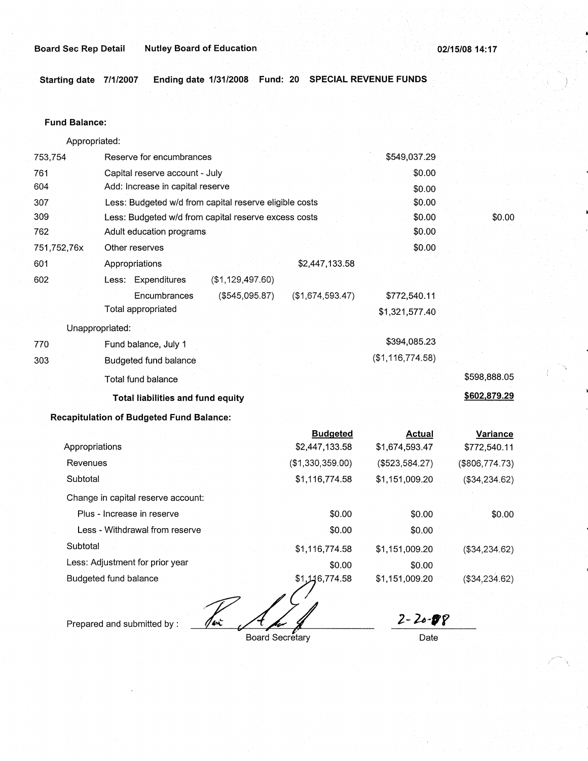·, \

**Starting date 7/1/2007 Ending date 1/31/2008 Fund: 20 SPECIAL REVENUE FUNDS** 

#### **Fund Balance:**

Appropriated: 753,754 Reserve for encumbrances 761 Capital reserve account - July 604 Add: Increase in capital reserve 307 309 762 751,752,76x 601 Less: Budgeted w/d from capital reserve eligible costs Less: Budgeted w/d from capital reserve excess costs Adult education programs 602 Other reserves Appropriations **Less:** Expenditures **Encumbrances** Total appropriated Unappropriated: 770 Fund balance, July 1 303 Budgeted fund balance Total fund balance (\$1,129,497.60) (\$545,095.87) **Total liabilities and fund equity Recapitulation of Budgeted Fund Balance:**  \$2,447,133.58 (\$1,674,593.47) **Budgeted**  \$549,037.29 \$0.00 \$0.00 \$0.00 \$0.00 \$0.00 \$0.00 \$772,540.11 \$1,321,577.40 \$394,085.23 (\$1,116,774.58) **Actual**  \$0.00 \$598,888.05 **\$602,879.29 Variance** 

| Appropriations                     | \$2,447,133.58   | \$1,674,593.47 | \$772,540.11   |
|------------------------------------|------------------|----------------|----------------|
| Revenues                           | (\$1,330,359.00) | (\$523,584.27) | (\$806,774.73) |
| Subtotal                           | \$1,116,774.58   | \$1,151,009.20 | (\$34,234.62)  |
| Change in capital reserve account: |                  |                |                |
| Plus - Increase in reserve         | \$0.00           | \$0.00         | \$0.00         |
| Less - Withdrawal from reserve     | \$0.00           | \$0.00         |                |
| Subtotal                           | \$1,116,774.58   | \$1,151,009.20 | (\$34,234.62)  |
| Less: Adjustment for prior year    | \$0.00           | \$0.00         |                |
| Budgeted fund balance              | \$1,146,774.58   | \$1,151,009.20 | (\$34,234.62)  |
|                                    |                  |                |                |

Tex

Prepared and submitted by :

Board Secretary

*2- µ-,y*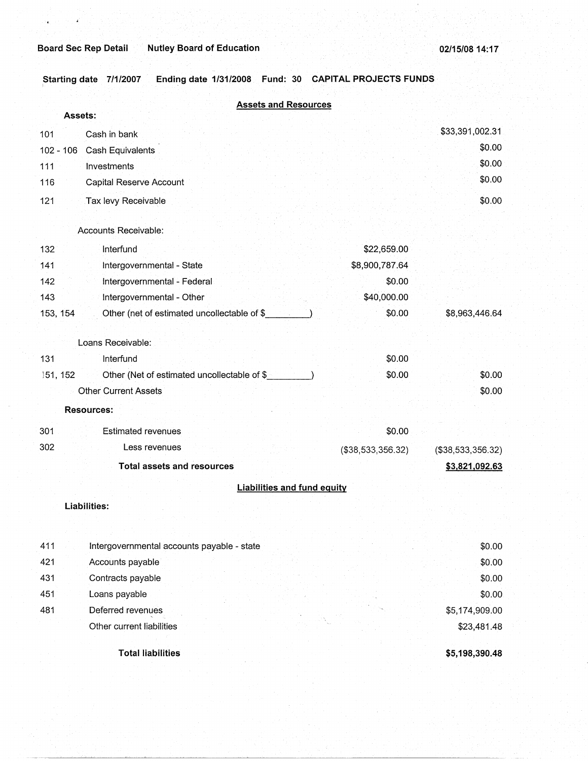,·

×

Starting date 7/1/2007 Ending date 1/31/2008 Fund: 30 CAPITAL PROJECTS FUNDS

|             | <b>Assets and Resources</b>                  |                   |                   |
|-------------|----------------------------------------------|-------------------|-------------------|
|             | Assets:                                      |                   |                   |
| 101         | Cash in bank                                 |                   | \$33,391,002.31   |
| $102 - 106$ | Cash Equivalents                             |                   | \$0.00            |
| 111         | Investments                                  |                   | \$0.00            |
| 116         | Capital Reserve Account                      |                   | \$0.00            |
| 121         | Tax levy Receivable                          |                   | \$0.00            |
|             | Accounts Receivable:                         |                   |                   |
|             |                                              |                   |                   |
| 132         | Interfund                                    | \$22,659.00       |                   |
| 141         | Intergovernmental - State                    | \$8,900,787.64    |                   |
| 142         | Intergovernmental - Federal                  | \$0.00            |                   |
| 143         | Intergovernmental - Other                    | \$40,000.00       |                   |
| 153, 154    | Other (net of estimated uncollectable of \$  | \$0.00            | \$8,963,446.64    |
|             | Loans Receivable:                            |                   |                   |
| 131         | Interfund                                    | \$0.00            |                   |
| 151, 152    | Other (Net of estimated uncollectable of \$_ | \$0.00            | \$0.00            |
|             | <b>Other Current Assets</b>                  |                   | \$0.00            |
|             | <b>Resources:</b>                            |                   |                   |
| 301         | <b>Estimated revenues</b>                    | \$0.00            |                   |
| 302         | Less revenues                                | (\$38,533,356.32) | (\$38,533,356.32) |
|             | <b>Total assets and resources</b>            |                   | \$3,821,092.63    |
|             | <b>Liabilities and fund equity</b>           |                   |                   |
|             | Liabilities:                                 |                   |                   |
|             |                                              |                   |                   |
|             |                                              |                   |                   |
| 411         | Intergovernmental accounts payable - state   |                   | \$0.00            |
| 421         | Accounts payable                             |                   | \$0.00            |
| 431         | Contracts payable                            |                   | \$0.00            |
| 451         | Loans payable                                |                   | \$0.00            |
| 481         | Deferred revenues                            |                   | \$5,174,909.00    |
|             | Other current liabilities                    |                   | \$23,481.48       |
|             |                                              |                   |                   |

**Total liabilities** 

**\$5,198,390.48**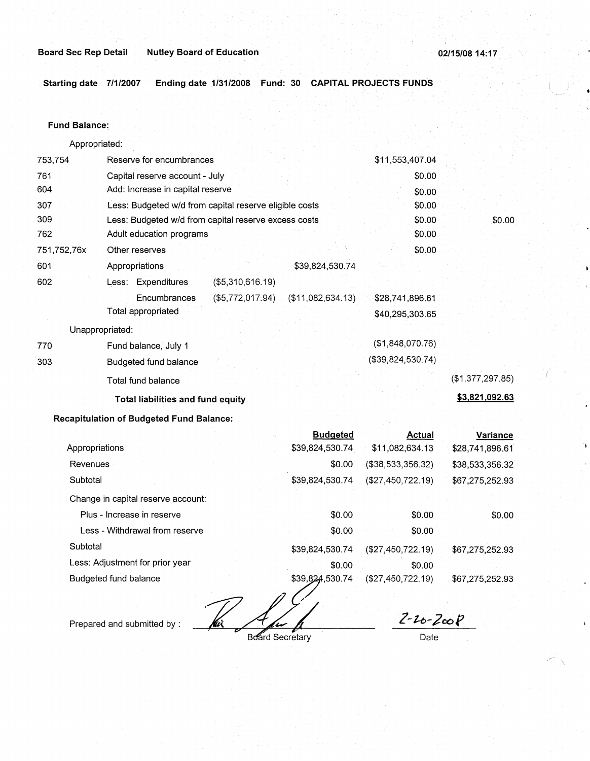**Board Sec Rep Detail Nutley Board of Education** 

**02/15/08 14: 17** 

**Starting date 7/1/2007 Ending date 1/31/2008 Fund: 30 CAPITAL PROJECTS FUNDS** 

### **Fund Balance:**

753,754 761 604 Appropriated: Reserve for encumbrances Capital reserve account - July Add: Increase in capital reserve 307 309 762 751,752,76x 601 Less: Budgeted w/d from capital reserve eligible costs Less: Budgeted w/d from capital reserve excess costs Adult education programs 602 770 303 Other reserves Appropriations \$39,824,530.74 Less: Expenditures (\$5,310,616.19) **Encumbrances** Total appropriated (\$5,772,017.94) (\$11,082,634.13) Unappropriated: Fund balance, July 1 Budgeted fund balance Total fund balance **Total liabilities and fund equity**  \$11,553,407.04 \$0.00 \$0.00 \$0.00 \$0.00 \$0.00 \$0.00 \$28,741,896.61 \$40,295,303.65 (\$1,848,070.76) (\$39,824,530.74) \$0.00 (\$1,377,297.85) **\$3,821,092.63** 

**Recapitulation of Budgeted Fund Balance:** 

|                                    |  | <b>Budgeted</b> | Actual            | Variance        |
|------------------------------------|--|-----------------|-------------------|-----------------|
| Appropriations                     |  | \$39,824,530.74 | \$11,082,634.13   | \$28,741,896.61 |
| Revenues                           |  | \$0.00          | (\$38,533,356.32) | \$38,533,356.32 |
| Subtotal                           |  | \$39,824,530.74 | (\$27,450,722.19) | \$67,275,252.93 |
| Change in capital reserve account: |  |                 |                   |                 |
| Plus - Increase in reserve         |  | \$0.00          | \$0.00            | \$0.00          |
| Less - Withdrawal from reserve     |  | \$0.00          | \$0.00            |                 |
| Subtotal                           |  | \$39,824,530.74 | (\$27,450,722.19) | \$67,275,252.93 |
| Less: Adjustment for prior year    |  | \$0.00          | \$0.00            |                 |
| Budgeted fund balance              |  | \$39,824,530.74 | (\$27,450,722.19) | \$67,275,252.93 |
|                                    |  |                 |                   |                 |

Prepared and submitted by :

 $\frac{2-2c-2c0P}{\text{Date}}$ 

**Board Secretary**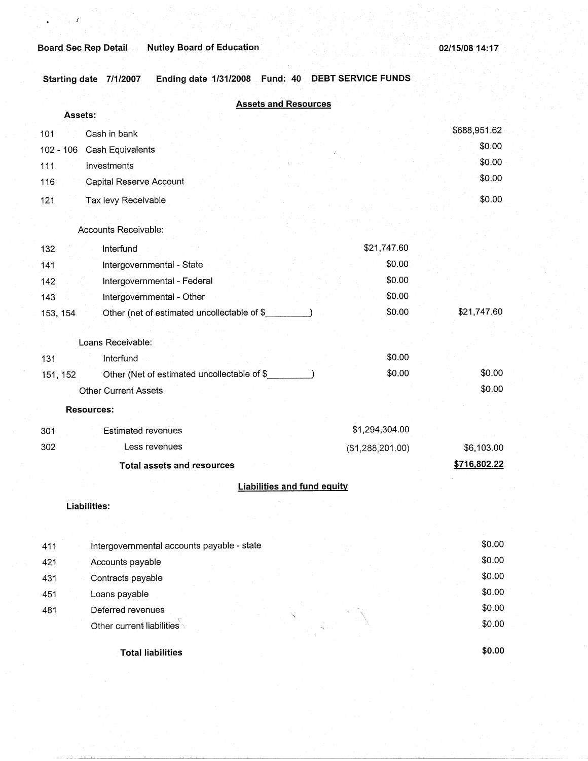*I* 

**Starting date 7/1/2007 Ending date 1/31/2008 Fund: 40 DEBT SERVICE FUNDS** 

| <b>Assets and Resources</b>                             |                  |              |
|---------------------------------------------------------|------------------|--------------|
| Assets:                                                 |                  |              |
| Cash in bank<br>101                                     |                  | \$688,951.62 |
| $102 - 106$<br>Cash Equivalents                         |                  | \$0.00       |
| 111<br>Investments                                      |                  | \$0.00       |
| Capital Reserve Account<br>116                          |                  | \$0.00       |
| 121<br>Tax levy Receivable                              |                  | \$0.00       |
|                                                         |                  |              |
| Accounts Receivable:                                    |                  |              |
| Interfund<br>132                                        | \$21,747.60      |              |
| Intergovernmental - State<br>141                        | \$0.00           |              |
| Intergovernmental - Federal<br>142                      | \$0.00           |              |
| Intergovernmental - Other<br>143                        | \$0.00           |              |
| Other (net of estimated uncollectable of \$<br>153, 154 | \$0.00           | \$21,747.60  |
|                                                         |                  |              |
| Loans Receivable:                                       |                  |              |
| 131<br>Interfund                                        | \$0.00           |              |
| Other (Net of estimated uncollectable of \$<br>151, 152 | \$0.00           | \$0.00       |
| <b>Other Current Assets</b>                             |                  | \$0.00       |
| <b>Resources:</b>                                       |                  |              |
| <b>Estimated revenues</b><br>301                        | \$1,294,304.00   |              |
| 302<br>Less revenues                                    | (\$1,288,201.00) | \$6,103.00   |
| <b>Total assets and resources</b>                       |                  | \$716,802.22 |
| <b>Liabilities and fund equity</b>                      |                  |              |
|                                                         |                  |              |
| Liabilities:                                            |                  |              |
|                                                         |                  |              |
| Intergovernmental accounts payable - state<br>411       |                  | \$0.00       |
| 421<br>Accounts payable                                 |                  | \$0.00       |
| Contracts payable<br>431                                |                  | \$0.00       |
| 451<br>Loans payable                                    |                  | \$0.00       |
| Deferred revenues<br>481                                |                  | \$0.00       |
|                                                         |                  |              |

Other current liabilities

**Total liabilities** 

**\$0.00** 

\$0.00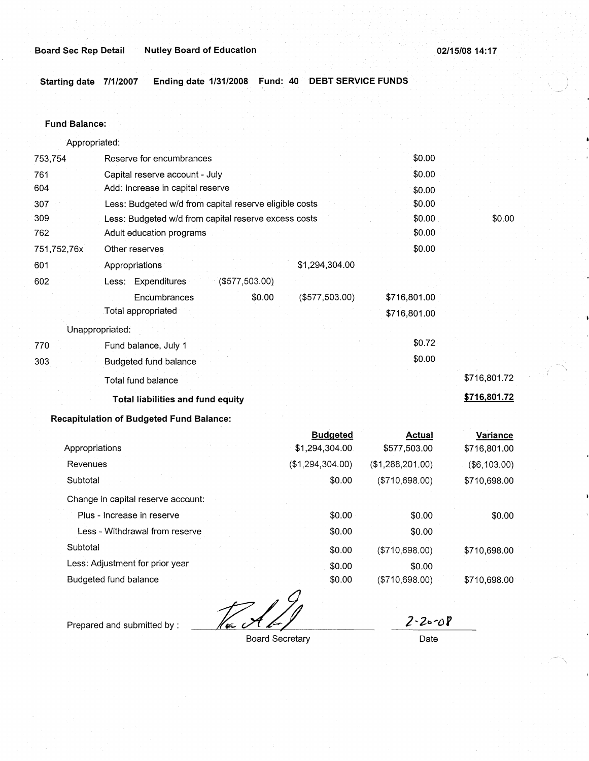' '

**Starting date 7/1/2007 Ending date 1/31/2008 Fund: 40 DEBT SERVICE FUNDS** )

#### **Fund Balance:**

Appropriated: 753,754 Reserve for encumbrances \$0.00 761 Capital reserve account - July \$0.00 604 Add: Increase in capital reserve **\$0.00** \$0.00 307 Less: Budgeted w/d from capital reserve eligible costs \$0.00 309 Less: Budgeted w/d from capital reserve excess costs \$0.00 \$0.00 \$0.00 762 Adult education programs \$0.00 751,752,76x Other reserves \$0.00 601 Appropriations \$1,294,304.00 602 Less: Expenditures (\$577,503.00) Encumbrances \$0.00 (\$577,503.00) \$716,801.00 Total appropriated \$716,801.00 Unappropriated: The Fund balance, July 1  $$0.72$ 303 Budgeted fund balance \$0.00 Total fund balance \$716,801.72 Total liabilities and fund equity **\$716,801.72 \$716,801.72 Recapitulation of Budgeted Fund Balance: Budgeted Actual Variance**  Appropriations **\$1,294,304.00** \$577,503.00 \$716,801.00 Revenues (\$1,294,304.00) (\$1,288,201.00) (\$6,103.00) Subtotal \$0.00 (\$710,698.00) \$710,698.00

Change in capital reserve account:

Plus - Increase in reserve **80.00** \$0.00 \$0.00 \$0.00 Less - Withdrawal from reserve  $$0.00$  \$0.00 \$0.00 Subtotal \$0.00 (\$710,698.00) \$710,698.00 Less: Adjustment for prior year  $$0.00$  \$0.00 \$0.00

Budgeted fund balance **\$0.00** (\$710,698.00) \$710,698.00

Prepared and submitted by :

 $2 - 2 - 08$ 

Board Secretary **Date**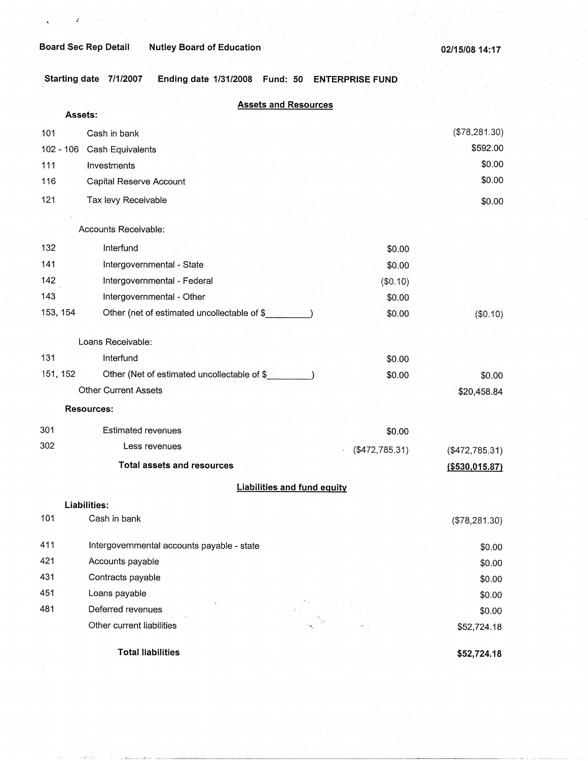*J* 

Starting date 7/1/2007 Ending date 1/31/2008 Fund: 50 ENTERPRISE FUND

|             | <b>Assets and Resources</b>                 |                  |                  |
|-------------|---------------------------------------------|------------------|------------------|
|             | Assets:                                     |                  |                  |
| 101         | Cash in bank                                |                  | (\$78,281.30)    |
| $102 - 106$ | Cash Equivalents                            |                  | \$592.00         |
| 111         | Investments                                 |                  | \$0.00           |
| 116         | Capital Reserve Account                     |                  | \$0.00           |
| 121         | Tax levy Receivable                         |                  | \$0.00           |
|             | Accounts Receivable:                        |                  |                  |
| 132         | Interfund                                   | \$0.00           |                  |
| 141         | Intergovernmental - State                   | \$0.00           |                  |
| 142         | Intergovernmental - Federal                 | (\$0.10)         |                  |
| 143         | Intergovernmental - Other                   | \$0.00           |                  |
| 153, 154    | Other (net of estimated uncollectable of \$ | \$0.00           | (\$0.10)         |
|             |                                             |                  |                  |
|             | Loans Receivable:                           |                  |                  |
| 131         | Interfund                                   | \$0.00           |                  |
| 151, 152    | Other (Net of estimated uncollectable of \$ | \$0.00           | \$0.00           |
|             | <b>Other Current Assets</b>                 |                  | \$20,458.84      |
|             | <b>Resources:</b>                           |                  |                  |
| 301         | <b>Estimated revenues</b>                   | \$0.00           |                  |
| 302         | Less revenues                               | ( \$472, 785.31) | (\$472,785.31)   |
|             | <b>Total assets and resources</b>           |                  | ( \$530, 015.87) |
|             | <b>Liabilities and fund equity</b>          |                  |                  |
|             | Liabilities:                                |                  |                  |
| 101         | Cash in bank                                |                  | (\$78,281.30)    |
|             |                                             |                  |                  |
| 411         | Intergovernmental accounts payable - state  |                  | \$0.00           |
| 421         | Accounts payable                            |                  | \$0.00           |
| 431         | Contracts payable                           |                  | \$0.00           |
| 451         | Loans payable                               |                  | \$0.00           |
| 481         | Deferred revenues                           |                  | \$0.00           |
|             | Other current liabilities                   |                  | \$52,724.18      |
|             | <b>Total liabilities</b>                    |                  | \$52,724.18      |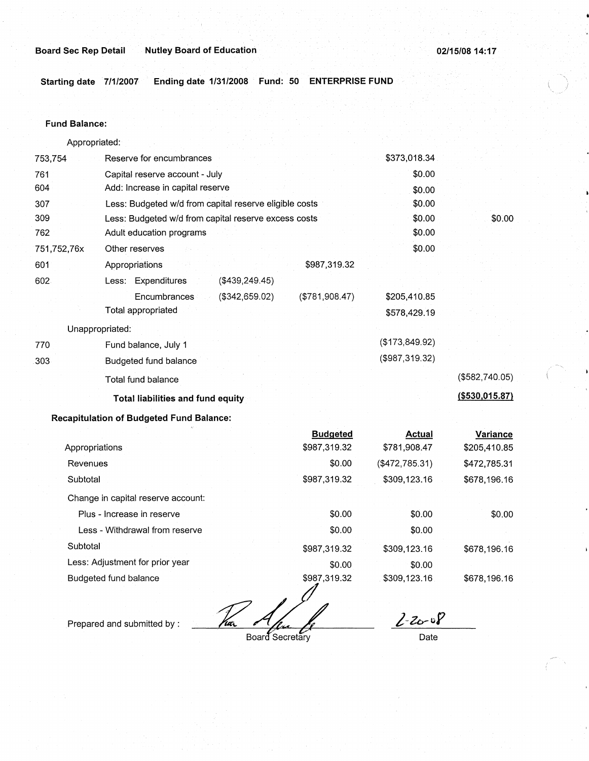**Starting date 7/1/2007 Ending date 1/31/2008 Fund: 50 ENTERPRISE FUND** 

#### **Fund Balance:**

753,754 761 604 Appropriated: Reserve for encumbrances Capital reserve account - July Add: Increase in capital reserve 307 309 762 751,752,76x 601 Less: Budgeted w/d from capital reserve eligible costs Less: Budgeted w/d from capital reserve excess costs Adult education programs 602 770 303 Other reserves Appropriations Less: Expenditures **Encumbrances** Total appropriated Unappropriated: Fund balance, July 1 Budgeted fund balance Total fund balance (\$439,249.45) (\$342,659.02) **Total liabilities and fund equity**  \$987,319.32 (\$781,908.47) \$373,018.34 \$0.00 \$0.00 \$0.00 \$0.00 \$0.00 \$0.00 \$205,410.85 \$578,429.19 (\$173,849.92) (\$987,319.32) \$0.00 (\$582,740.05) **(\$530,015.87)** 

## **Recapitulation of Budgeted Fund Balance:**

|                                    | <b>Budgeted</b> | Actual         | Variance     |
|------------------------------------|-----------------|----------------|--------------|
| Appropriations                     | \$987,319.32    | \$781,908.47   | \$205,410.85 |
| Revenues                           | \$0.00          | (\$472,785.31) | \$472,785.31 |
| Subtotal                           | \$987,319.32    | \$309,123.16   | \$678,196.16 |
| Change in capital reserve account. |                 |                |              |
| Plus - Increase in reserve         | \$0.00          | \$0.00         | \$0.00       |
| Less - Withdrawal from reserve     | \$0.00          | \$0.00         |              |
| Subtotal                           | \$987,319.32    | \$309,123.16   | \$678,196.16 |
| Less: Adjustment for prior year    | \$0.00          | \$0.00         |              |
| Budgeted fund balance              | \$987,319.32    | \$309,123.16   | \$678,196.16 |
|                                    |                 |                |              |

Prepared and submitted by :

Board Secretary

 $2 - 20 - 08$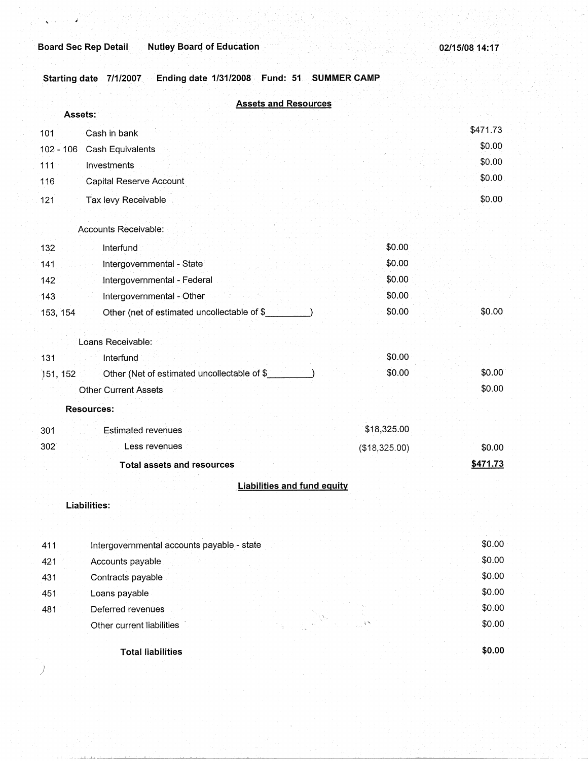## **Board Sec Rep Detail. Mutley Board of Education 02/15/08 14:17 02/15/08 14:17**

. '

*)* 

Starting date 7/1/2007 Ending date 1/31/2008 Fund: 51 SUMMER CAMP

|             | <b>Assets and Resources</b><br>Assets:      |               |          |
|-------------|---------------------------------------------|---------------|----------|
| 101         | Cash in bank                                |               | \$471.73 |
| $102 - 106$ | Cash Equivalents                            |               | \$0.00   |
| 111         | Investments                                 |               | \$0.00   |
| 116         | Capital Reserve Account                     |               | \$0.00   |
| 121         | Tax levy Receivable                         |               | \$0.00   |
|             | Accounts Receivable:                        |               |          |
| 132         | Interfund                                   | \$0.00        |          |
| 141         | Intergovernmental - State                   | \$0.00        |          |
| 142         | Intergovernmental - Federal                 | \$0.00        |          |
| 143         | Intergovernmental - Other                   | \$0.00        |          |
| 153, 154    | Other (net of estimated uncollectable of \$ | \$0.00        | \$0.00   |
|             | Loans Receivable:                           |               |          |
| 131         | Interfund                                   | \$0.00        |          |
| 151, 152    | Other (Net of estimated uncollectable of \$ | \$0.00        | \$0.00   |
|             | <b>Other Current Assets</b>                 |               | \$0.00   |
|             | <b>Resources:</b>                           |               |          |
| 301         | <b>Estimated revenues</b>                   | \$18,325.00   |          |
| 302         | Less revenues                               | (\$18,325.00) | \$0.00   |
|             | <b>Total assets and resources</b>           |               | \$471.73 |
|             | <b>Liabilities and fund equity</b>          |               |          |
|             | Liabilities:                                |               |          |
| 411         | Intergovernmental accounts payable - state  |               | \$0.00   |
| 421         | Accounts payable                            |               | \$0.00   |
| 431         | Contracts payable                           |               | \$0.00   |
| 451         | Loans payable                               |               | \$0.00   |
| 481         | Deferred revenues                           |               | \$0.00   |
|             | Other current liabilities                   |               | \$0.00   |
|             | <b>Total liabilities</b>                    |               | \$0.00   |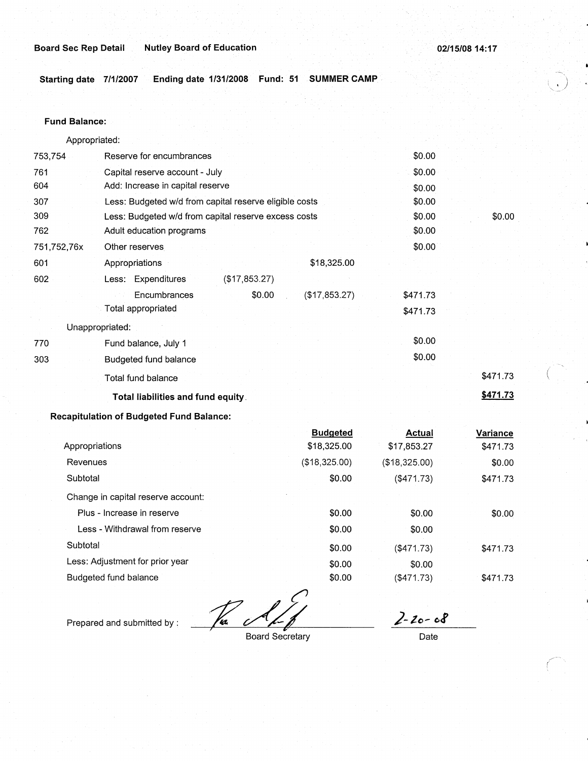$\circlearrowleft$ 

(

~--.

**Starting date 7/1/2007 Ending date 1/31/2008 Fund: 51 SUMMER CAMP** 

#### **Fund Balance:**

| Appropriated: |                                                        |          |          |
|---------------|--------------------------------------------------------|----------|----------|
| 753,754       | Reserve for encumbrances                               | \$0.00   |          |
| 761           | Capital reserve account - July                         | \$0.00   |          |
| 604           | Add: Increase in capital reserve                       | \$0.00   |          |
| 307           | Less: Budgeted w/d from capital reserve eligible costs | \$0.00   |          |
| 309           | Less: Budgeted w/d from capital reserve excess costs   | \$0.00   | \$0.00   |
| 762           | Adult education programs                               | \$0.00   |          |
| 751,752,76x   | Other reserves                                         | \$0.00   |          |
| 601           | \$18,325.00<br>Appropriations                          |          |          |
| 602           | Less: Expenditures<br>(\$17,853.27)                    |          |          |
|               | Encumbrances<br>\$0.00<br>(\$17,853.27)                | \$471.73 |          |
|               | Total appropriated                                     | \$471.73 |          |
|               | Unappropriated:                                        |          |          |
| 770           | Fund balance, July 1                                   | \$0.00   |          |
| 303           | Budgeted fund balance                                  | \$0.00   |          |
|               | Total fund balance                                     |          | \$471.73 |
|               | Total liabilities and fund equity.                     |          | \$471.73 |
| m.            | altolation of Dodnoted Found Dela                      |          |          |

**Recapitulation of Budgeted Fund Balance:** 

|                                    | <b>Budgeted</b> | Actual        | Variance |
|------------------------------------|-----------------|---------------|----------|
| Appropriations                     | \$18,325.00     | \$17,853.27   | \$471.73 |
| Revenues                           | (\$18,325.00)   | (\$18,325.00) | \$0.00   |
| Subtotal                           | \$0.00          | (\$471.73)    | \$471.73 |
| Change in capital reserve account: |                 |               |          |
| Plus - Increase in reserve         | \$0.00          | \$0.00        | \$0.00   |
| Less - Withdrawal from reserve     | \$0.00          | \$0.00        |          |
| Subtotal                           | \$0.00          | (\$471.73)    | \$471.73 |
| Less: Adjustment for prior year    | \$0.00          | \$0.00        |          |
| Budgeted fund balance              | \$0.00          | ( \$471.73)   | \$471.73 |
|                                    |                 |               |          |

Tia

Prepared and submitted by :

Board Secretary

 $2 - 20 - 68$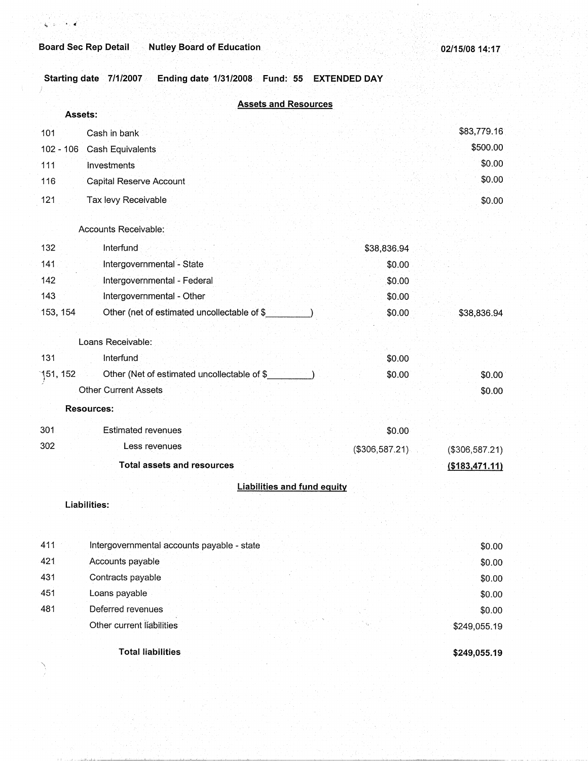## **Board Sec Rep Detail Mutley Board of Education**

 $\checkmark$ 

**Starting date 7/1/2007 Ending date 1/31/2008 Fund:· 55 EXTEND.ED DAY** 

|           | <b>Assets and Resources</b>                  |                |                 |
|-----------|----------------------------------------------|----------------|-----------------|
|           | Assets:                                      |                |                 |
| 101       | Cash in bank                                 |                | \$83,779.16     |
|           | 102 - 106 Cash Equivalents                   |                | \$500.00        |
| 111       | Investments                                  |                | \$0.00          |
| 116       | Capital Reserve Account                      |                | \$0.00          |
| 121       | Tax levy Receivable                          |                | \$0.00          |
|           | Accounts Receivable:                         |                |                 |
| 132       | Interfund                                    | \$38,836.94    |                 |
| 141       | Intergovernmental - State                    | \$0.00         |                 |
| 142       | Intergovernmental - Federal                  | \$0.00         |                 |
| 143       | Intergovernmental - Other                    | \$0.00         |                 |
| 153, 154  | Other (net of estimated uncollectable of \$  | \$0.00         | \$38,836.94     |
|           | Loans Receivable:                            |                |                 |
| 131       | Interfund                                    | \$0.00         |                 |
| ้151, 152 | Other (Net of estimated uncollectable of \$_ | \$0.00         | \$0.00          |
|           | <b>Other Current Assets</b>                  |                | \$0.00          |
|           | Resources:                                   |                |                 |
| 301       | Estimated revenues                           | \$0.00         |                 |
| 302       | Less revenues                                | (\$306,587.21) | (\$306,587.21)  |
|           | <b>Total assets and resources</b>            |                | ( \$183,471.11) |
|           | <b>Liabilities and fund equity</b>           |                |                 |
|           | Liabilities:                                 |                |                 |
| 411       | Intergovernmental accounts payable - state   |                | \$0.00          |
| 421       | Accounts payable                             |                | \$0.00          |
| 431       | Contracts payable                            |                | \$0.00          |
| 451       | Loans payable                                |                | \$0.00          |
| 481       | Deferred revenues                            |                | \$0.00          |
|           | Other current liabilities                    |                | \$249,055.19    |
|           | <b>Total liabilities</b>                     |                | \$249,055.19    |